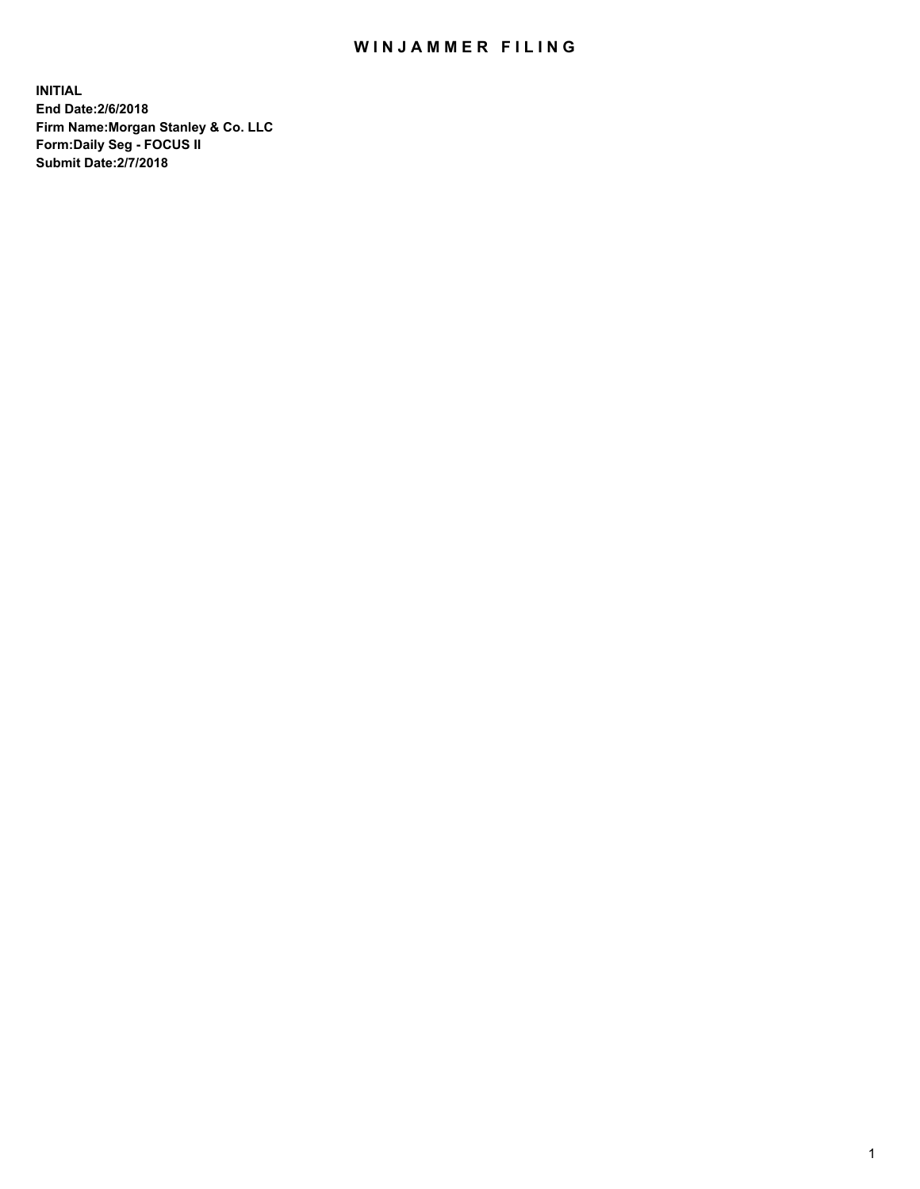## WIN JAMMER FILING

**INITIAL End Date:2/6/2018 Firm Name:Morgan Stanley & Co. LLC Form:Daily Seg - FOCUS II Submit Date:2/7/2018**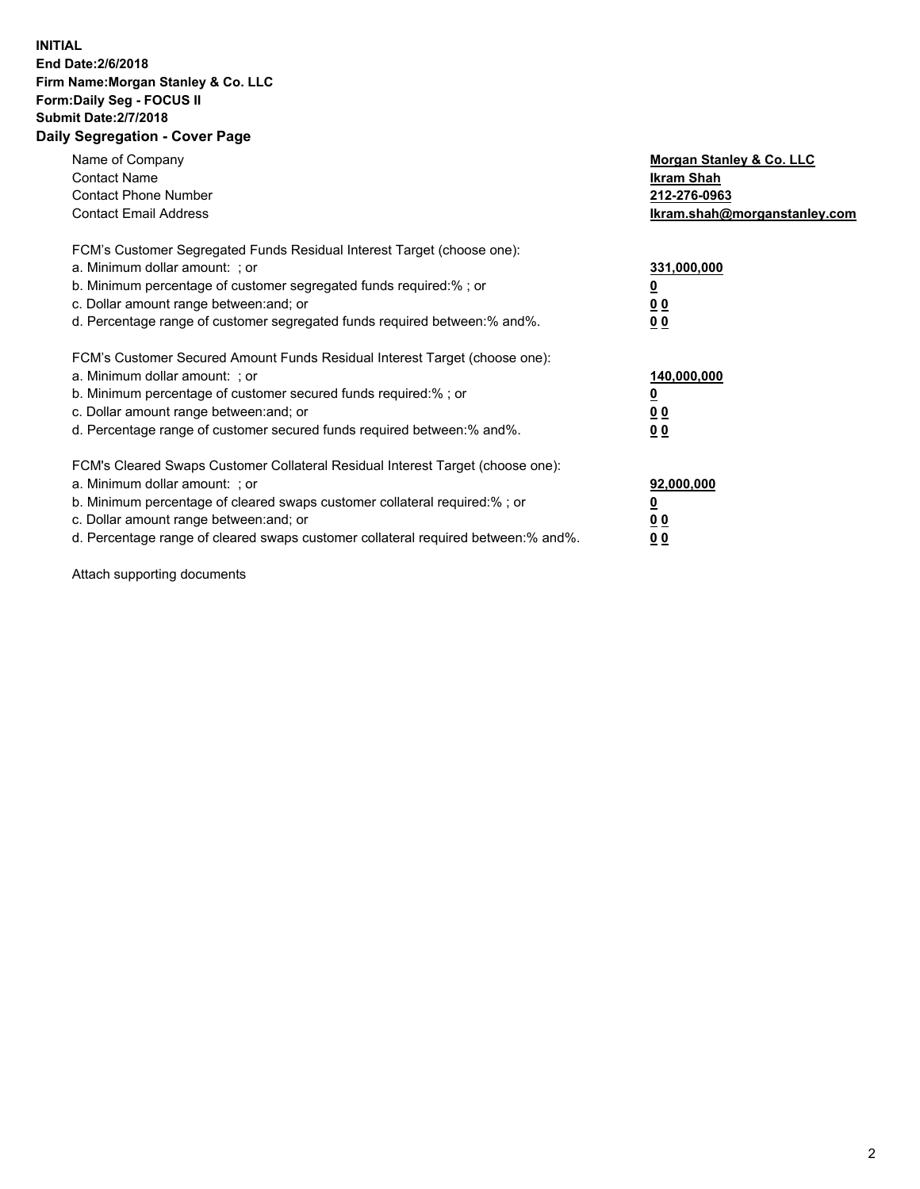## **INITIAL End Date:2/6/2018 Firm Name:Morgan Stanley & Co. LLC Form:Daily Seg - FOCUS II Submit Date:2/7/2018 Daily Segregation - Cover Page**

| Name of Company<br><b>Contact Name</b><br><b>Contact Phone Number</b><br><b>Contact Email Address</b>                                                                                                                                                                                                                          | Morgan Stanley & Co. LLC<br>Ikram Shah<br>212-276-0963<br>Ikram.shah@morganstanley.com |
|--------------------------------------------------------------------------------------------------------------------------------------------------------------------------------------------------------------------------------------------------------------------------------------------------------------------------------|----------------------------------------------------------------------------------------|
| FCM's Customer Segregated Funds Residual Interest Target (choose one):<br>a. Minimum dollar amount: ; or<br>b. Minimum percentage of customer segregated funds required:% ; or<br>c. Dollar amount range between: and; or<br>d. Percentage range of customer segregated funds required between: % and %.                       | 331,000,000<br>0 <sub>0</sub><br>0 <sub>0</sub>                                        |
| FCM's Customer Secured Amount Funds Residual Interest Target (choose one):<br>a. Minimum dollar amount: ; or<br>b. Minimum percentage of customer secured funds required:%; or<br>c. Dollar amount range between: and; or<br>d. Percentage range of customer secured funds required between: % and %.                          | 140,000,000<br>00<br>00                                                                |
| FCM's Cleared Swaps Customer Collateral Residual Interest Target (choose one):<br>a. Minimum dollar amount: ; or<br>b. Minimum percentage of cleared swaps customer collateral required:% ; or<br>c. Dollar amount range between: and; or<br>d. Percentage range of cleared swaps customer collateral required between:% and%. | 92,000,000<br>0 <sub>0</sub><br>00                                                     |

Attach supporting documents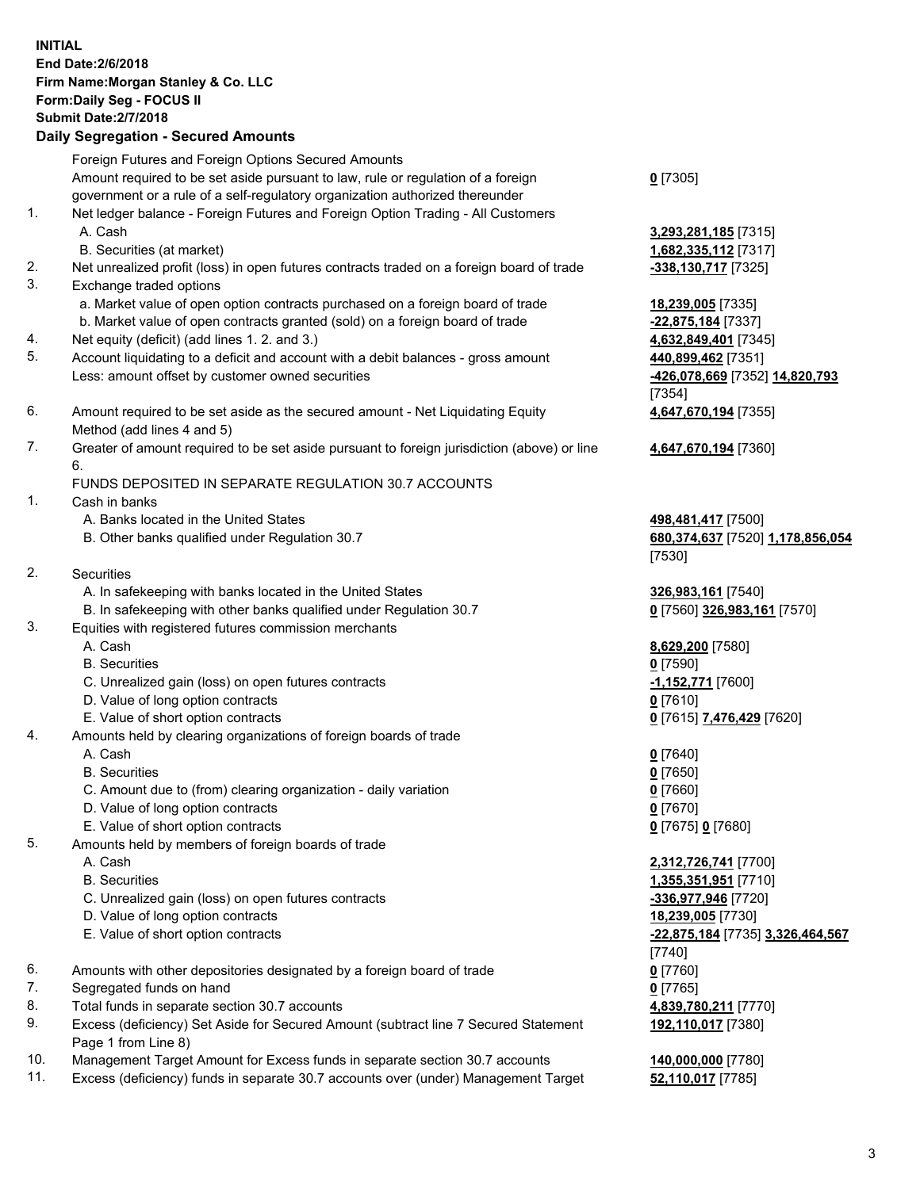|          | <b>INITIAL</b><br>End Date: 2/6/2018<br>Firm Name: Morgan Stanley & Co. LLC<br>Form: Daily Seg - FOCUS II<br><b>Submit Date: 2/7/2018</b><br><b>Daily Segregation - Secured Amounts</b> |                                            |
|----------|-----------------------------------------------------------------------------------------------------------------------------------------------------------------------------------------|--------------------------------------------|
|          | Foreign Futures and Foreign Options Secured Amounts                                                                                                                                     |                                            |
|          | Amount required to be set aside pursuant to law, rule or regulation of a foreign<br>government or a rule of a self-regulatory organization authorized thereunder                        | $0$ [7305]                                 |
| 1.       | Net ledger balance - Foreign Futures and Foreign Option Trading - All Customers                                                                                                         |                                            |
|          | A. Cash                                                                                                                                                                                 | 3,293,281,185 [7315]                       |
|          | B. Securities (at market)                                                                                                                                                               | 1,682,335,112 [7317]                       |
| 2.       | Net unrealized profit (loss) in open futures contracts traded on a foreign board of trade                                                                                               | -338,130,717 [7325]                        |
| 3.       | Exchange traded options                                                                                                                                                                 |                                            |
|          | a. Market value of open option contracts purchased on a foreign board of trade                                                                                                          | 18,239,005 [7335]                          |
| 4.       | b. Market value of open contracts granted (sold) on a foreign board of trade<br>Net equity (deficit) (add lines 1.2. and 3.)                                                            | -22,875,184 [7337]<br>4,632,849,401 [7345] |
| 5.       | Account liquidating to a deficit and account with a debit balances - gross amount                                                                                                       | 440,899,462 [7351]                         |
|          | Less: amount offset by customer owned securities                                                                                                                                        | -426,078,669 [7352] 14,820,793             |
|          |                                                                                                                                                                                         | [7354]                                     |
| 6.       | Amount required to be set aside as the secured amount - Net Liquidating Equity                                                                                                          | 4,647,670,194 [7355]                       |
|          | Method (add lines 4 and 5)                                                                                                                                                              |                                            |
| 7.       | Greater of amount required to be set aside pursuant to foreign jurisdiction (above) or line<br>6.                                                                                       | 4,647,670,194 [7360]                       |
|          | FUNDS DEPOSITED IN SEPARATE REGULATION 30.7 ACCOUNTS                                                                                                                                    |                                            |
| 1.       | Cash in banks                                                                                                                                                                           |                                            |
|          | A. Banks located in the United States                                                                                                                                                   | 498,481,417 [7500]                         |
|          | B. Other banks qualified under Regulation 30.7                                                                                                                                          | 680,374,637 [7520] 1,178,856,054           |
| 2.       |                                                                                                                                                                                         | [7530]                                     |
|          | Securities<br>A. In safekeeping with banks located in the United States                                                                                                                 | 326,983,161 [7540]                         |
|          | B. In safekeeping with other banks qualified under Regulation 30.7                                                                                                                      | 0 [7560] 326,983,161 [7570]                |
| 3.       | Equities with registered futures commission merchants                                                                                                                                   |                                            |
|          | A. Cash                                                                                                                                                                                 | 8,629,200 [7580]                           |
|          | <b>B.</b> Securities                                                                                                                                                                    | $0$ [7590]                                 |
|          | C. Unrealized gain (loss) on open futures contracts                                                                                                                                     | -1,152,771 [7600]                          |
|          | D. Value of long option contracts                                                                                                                                                       | $0$ [7610]                                 |
|          | E. Value of short option contracts                                                                                                                                                      | 0 [7615] 7,476,429 [7620]                  |
| 4.       | Amounts held by clearing organizations of foreign boards of trade                                                                                                                       |                                            |
|          | A. Cash                                                                                                                                                                                 | $0$ [7640]                                 |
|          | <b>B.</b> Securities<br>C. Amount due to (from) clearing organization - daily variation                                                                                                 | $0$ [7650]<br>$0$ [7660]                   |
|          | D. Value of long option contracts                                                                                                                                                       | $0$ [7670]                                 |
|          | E. Value of short option contracts                                                                                                                                                      | 0 [7675] 0 [7680]                          |
| 5.       | Amounts held by members of foreign boards of trade                                                                                                                                      |                                            |
|          | A. Cash                                                                                                                                                                                 | 2,312,726,741 [7700]                       |
|          | <b>B.</b> Securities                                                                                                                                                                    | 1,355,351,951 [7710]                       |
|          | C. Unrealized gain (loss) on open futures contracts                                                                                                                                     | -336,977,946 [7720]                        |
|          | D. Value of long option contracts                                                                                                                                                       | 18,239,005 [7730]                          |
|          | E. Value of short option contracts                                                                                                                                                      | -22,875,184 [7735] 3,326,464,567           |
|          |                                                                                                                                                                                         | [7740]                                     |
| 6.<br>7. | Amounts with other depositories designated by a foreign board of trade                                                                                                                  | $0$ [7760]                                 |
| 8.       | Segregated funds on hand<br>Total funds in separate section 30.7 accounts                                                                                                               | $0$ [7765]<br>4,839,780,211 [7770]         |
| 9.       | Excess (deficiency) Set Aside for Secured Amount (subtract line 7 Secured Statement                                                                                                     | 192,110,017 [7380]                         |
|          | Page 1 from Line 8)                                                                                                                                                                     |                                            |

- 10. Management Target Amount for Excess funds in separate section 30.7 accounts **140,000,000** [7780]
- 11. Excess (deficiency) funds in separate 30.7 accounts over (under) Management Target **52,110,017** [7785]

3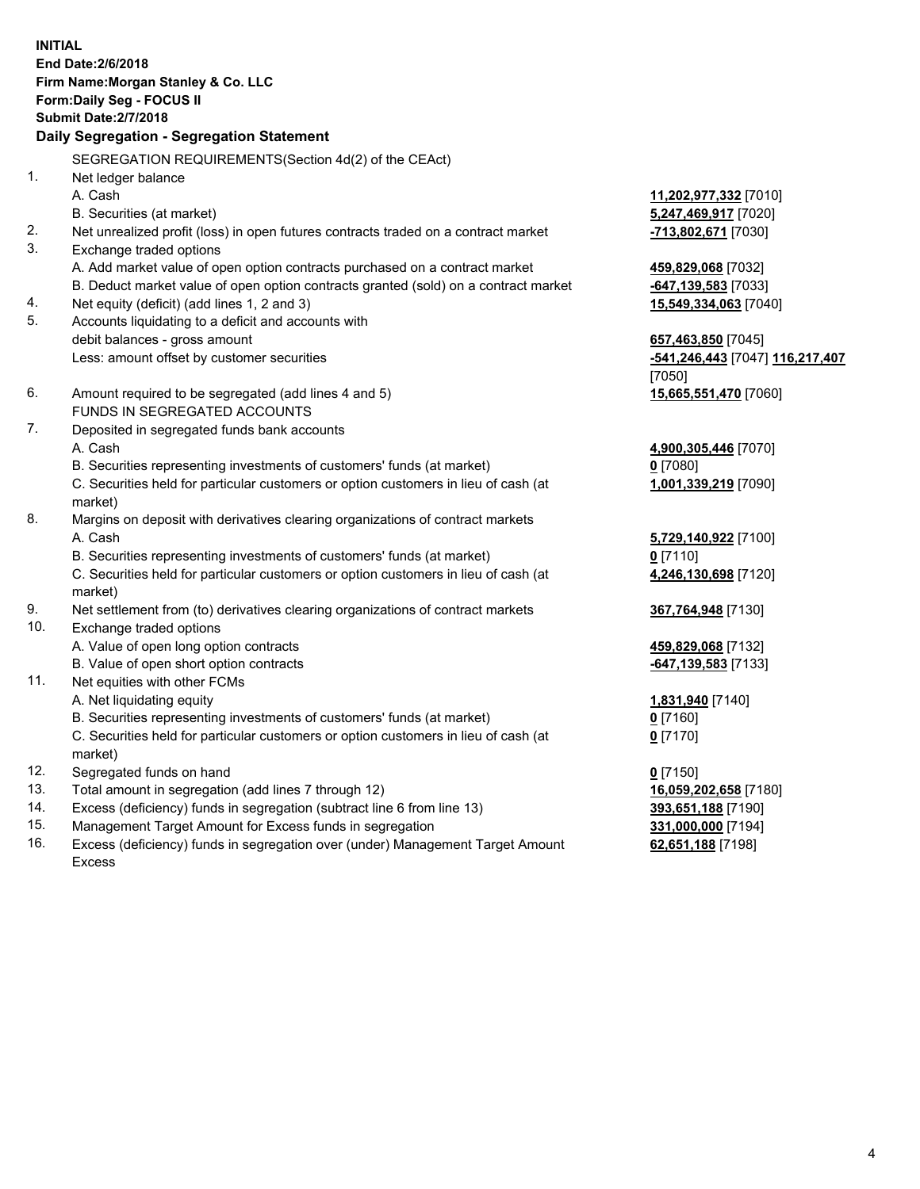**INITIAL End Date:2/6/2018 Firm Name:Morgan Stanley & Co. LLC Form:Daily Seg - FOCUS II Submit Date:2/7/2018 Daily Segregation - Segregation Statement** SEGREGATION REQUIREMENTS(Section 4d(2) of the CEAct) 1. Net ledger balance A. Cash **11,202,977,332** [7010] B. Securities (at market) **5,247,469,917** [7020] 2. Net unrealized profit (loss) in open futures contracts traded on a contract market **-713,802,671** [7030] 3. Exchange traded options A. Add market value of open option contracts purchased on a contract market **459,829,068** [7032] B. Deduct market value of open option contracts granted (sold) on a contract market **-647,139,583** [7033] 4. Net equity (deficit) (add lines 1, 2 and 3) **15,549,334,063** [7040] 5. Accounts liquidating to a deficit and accounts with debit balances - gross amount **657,463,850** [7045] Less: amount offset by customer securities **-541,246,443** [7047] **116,217,407** [7050] 6. Amount required to be segregated (add lines 4 and 5) **15,665,551,470** [7060] FUNDS IN SEGREGATED ACCOUNTS 7. Deposited in segregated funds bank accounts A. Cash **4,900,305,446** [7070] B. Securities representing investments of customers' funds (at market) **0** [7080] C. Securities held for particular customers or option customers in lieu of cash (at market) **1,001,339,219** [7090] 8. Margins on deposit with derivatives clearing organizations of contract markets A. Cash **5,729,140,922** [7100] B. Securities representing investments of customers' funds (at market) **0** [7110] C. Securities held for particular customers or option customers in lieu of cash (at market) **4,246,130,698** [7120] 9. Net settlement from (to) derivatives clearing organizations of contract markets **367,764,948** [7130] 10. Exchange traded options A. Value of open long option contracts **459,829,068** [7132] B. Value of open short option contracts **-647,139,583** [7133] 11. Net equities with other FCMs A. Net liquidating equity **1,831,940** [7140] B. Securities representing investments of customers' funds (at market) **0** [7160] C. Securities held for particular customers or option customers in lieu of cash (at market) **0** [7170] 12. Segregated funds on hand **0** [7150] 13. Total amount in segregation (add lines 7 through 12) **16,059,202,658** [7180] 14. Excess (deficiency) funds in segregation (subtract line 6 from line 13) **393,651,188** [7190] 15. Management Target Amount for Excess funds in segregation **331,000,000** [7194]

16. Excess (deficiency) funds in segregation over (under) Management Target Amount Excess

**62,651,188** [7198]